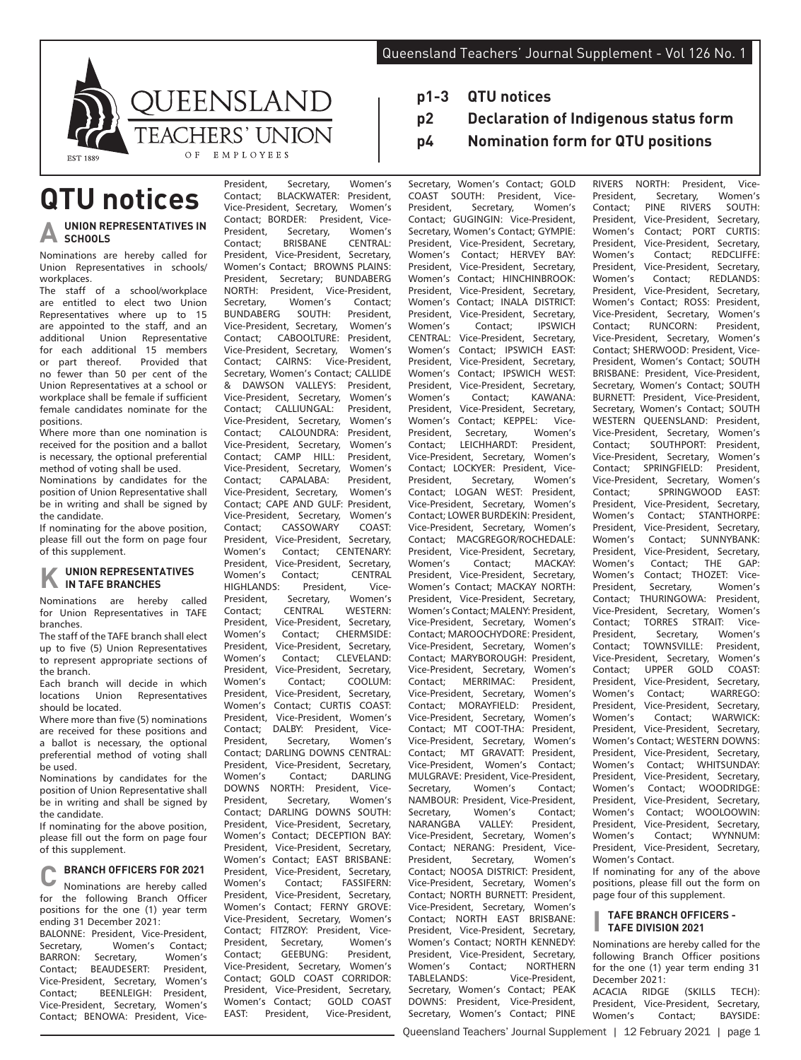

## **QTU notices**

#### **UNION REPRESENTATIVES IN SCHOOLS**

Nominations are hereby called for Union Representatives in schools/ workplaces.

The staff of a school/workplace are entitled to elect two Union Representatives where up to 15 are appointed to the staff, and an<br>additional Union Representative additional Union Representative for each additional 15 members<br>or part thereof. Provided that or part thereof. Provided that<br>no fewer than 50 per cent of the fewer than 50 per cent of the Union Representatives at a school or workplace shall be female if sufficient female candidates nominate for the positions.

Where more than one nomination is received for the position and a ballot is necessary, the optional preferential method of voting shall be used.

Nominations by candidates for the position of Union Representative shall be in writing and shall be signed by the candidate.

If nominating for the above position, please fill out the form on page four of this supplement.

# **K UNION REPRESENTATIVES IN TAFE BRANCHES**

Nominations are hereby called for Union Representatives in TAFE branches.

The staff of the TAFE branch shall elect up to five (5) Union Representatives to represent appropriate sections of the branch.

Each branch will decide in which locations Union Representatives should be located.

Where more than five (5) nominations are received for these positions and a ballot is necessary, the optional preferential method of voting shall be used.

Nominations by candidates for the position of Union Representative shall be in writing and shall be signed by the candidate.

If nominating for the above position, please fill out the form on page four of this supplement.

**C BRANCH OFFICERS FOR 2021** Nominations are hereby called for the following Branch Officer positions for the one (1) year term ending 31 December 2021:

BALONNE: President, Vice-President Secretary, Women's Contact;<br>BARRON: Secretary Women's Women's Contact; BEAUDESERT: President,<br>Vice-President, Secretary, Women's Vice-President, Secretary, Contact: **BEENLEIGH:** President Vice-President, Secretary, Women's Contact; BENOWA: President, VicePresident, Secretary, Women's<br>Contact: BLACKWATER: President Contact; BLACKWATER: President,<br>Vice-President, Secretary, Women's Vice-President, Secretary, **Contact; BORDER: President, Vice-**<br>President Secretary Women's Secretary, Women's<br>RRISRANE CENTRAL: Contact; BRISBANE CENTRAL:<br>President. Vice-President. Secretary. President, Vice-President, Women's Contact; BROWNS PLAINS: President, Secretary; BUNDABERG<br>NORTH: President, Vice-President, Vice-President, Secretary, Women's Contact;<br>BUNDABERG SOUTH: President, BUNDABERG SOUTH: President,<br>Vice-President Secretary Women's Vice-President, Secretary, Women's CABOOLTURE: President,<br>ent. Secretary. Women's Vice-President, Secretary,<br>Contact: CAIRNS: Vice Contact; CAIRNS: Vice-President, Secretary, Women's Contact; CALLIDE<br>& DAWSON VALLEYS: President, & DAWSON VALLEYS: Vice-President, Secretary, Women's<br>Contact; CALLIUNGAL: President, Contact; CALLIUNGAL: President,<br>Vice-President Secretary Women's Vice-President, Secretary, Women's<br>Contact: CALOUNDRA: President  $CALOILINDRA$ Vice-President, Secretary, Women's<br>Contact: CAMP HILL: President. Contact: CAMP HILL: Vice-President, Secretary, Women's<br>Contact: CAPALABA: President. Contact: CAPALABA: Vice-President, Secretary, Women's Contact; CAPE AND GULF: President,<br>Vice-President, Secretary, Women's Vice-President, Secretary, Women's<br>Contact: CASSOWARY COAST Contact: CASSOWARY President, Vice-President, Secretary, Women's Contact; CENTENARY: President, Vice-President, Secretary, Women's Contact; CENTRAL<br>HIGHLANDS: President Vice-President, Vice-President, Secretary, Contact; CENTRAL WESTERN: President, Vice-President, Secretary, Women's Contact; CHERMSIDE: President, Vice-President, Secretary,<br>Women's Contact: CLEVELAND: CLEVELAND: President, Vice-President, Secretary, Women's Contact: COOLUM President, Vice-President, Secretary,<br>Women's Contact: CURTIS COAST: Women's Contact; CURTIS COAST:<br>President Vice-President Women's Vice-President, Women's Contact; DALBY: President, Vice-President, Secretary, Women's Contact; DARLING DOWNS CENTRAL:<br>President Vice-President Secretary President, Vice-President, Secretary, Women's Contact; DOWNS NORTH: President, Vice-President, Secretary, Women's Contact; DARLING DOWNS SOUTH: President, Vice-President, Secretary, Women's Contact; DECEPTION BAY: President, Vice-President, Secretary, Women's Contact; EAST BRISBANE: President, Vice-President, Secretary,<br>Women's Contact: FASSIFERN: FASSIFFRN<sup>.</sup> President, Vice-President, Secretary, Women's Contact; FERNY GROVE: Vice-President, Secretary, Women's Contact; FITZROY: President, Vice-<br>President. Secretary. Women's President, Secretary, Women's<br>Contact: GEEBUNG: President. GEEBUNG: Vice-President, Secretary, Women's Contact; GOLD COAST CORRIDOR: President, Vice-President, Secretary, Women's Contact; GOLD COAST EAST: President, Vice-President,

- **p1-3 QTU notices**
- **p2 Declaration of Indigenous status form**
- **p4 Nomination form for QTU positions**

Secretary, Women's Contact; GOLD COAST SOUTH: President, Vice-<br>President, Secretary, Women's Secretary, Contact; GUGINGIN: Vice-President, Secretary, Women's Contact; GYMPIE: President, Vice-President, Secretary,<br>Women's Contact: HERVEY RAY Contact: HERVEY BAY: President, Vice-President, Secretary, Women's Contact; HINCHINBROOK:<br>President. Vice-President. Secretary. President, Vice-President, Secretary, Women's Contact; INALA DISTRICT:<br>President, Vice-President, Secretary, Vice-President, Secretary,<br>Contact: IPSWICH Women's Contact; IPSWICH<br>CENTRAL: Vice-President, Secretary, CENTRAL: Vice-President,<br>Women's Contact: IPSW Women's Contact; IPSWICH EAST:<br>President Vice-President Secretary President, Vice-President, Secretary, Women's Contact; IPSWICH WEST:<br>President, Vice-President, Secretary, Vice-President, Secretary, Women's Contact; KAWANA:<br>President, Vice-President, Secretary, Vice-President, Secretary,<br>Contact: KEPPEL: Vice-Women's Contact; KEPPEL: Vice-<br>President Secretary Women's **Secretary** Contact; LEICHHARDT: President, Vice-President, Secretary, Women's Contact; LOCKYER: President, Vice-President, Secretary, Women's Contact; LOGAN WEST: President, Vice-President, Secretary, Women's Contact; LOWER BURDEKIN: President, Vice-President, Secretary, Women's Contact; MACGREGOR/ROCHEDALE: President, Vice-President, Secretary, Women's Contact; MACKAY: President, Vice-President, Secretary, Women's Contact; MACKAY NORTH: President, Vice-President, Secretary Women's Contact; MALENY: President, Vice-President, Secretary, Women's Contact; MAROOCHYDORE: President, Vice-President, Secretary, Women's<br>Contact: MARYBOROUGH: President. Contact: MARYBOROUGH: Vice-President, Secretary, Women's Contact; MERRIMAC: President, Vice-President, Secretary, Women's<br>Contact; MORAYFIELD: President, MORAYFIELD: President,<br>lent. Secretary. Women's Vice-President, Secretary, Contact; MT COOT-THA: President,<br>Vice-President, Secretary, Women's Vice-President, Secretary, Contact; MT GRAVATT: President,<br>Vice-President Women's Contact: Vice-President, Women's Contact; MULGRAVE: President, Vice-President, Secretary, Women's Contact; NAMBOUR: President, Vice-President, Secretary, Women's Contact;<br>NARANGBA VALLEY: President, President, Vice-President, Secretary, Women's Contact; NERANG: President, Vice-President Secretary, Women's Contact; NOOSA DISTRICT: President, Vice-President, Secretary, Women's Contact; NORTH BURNETT: President, Vice-President, Secretary, Women's Contact; NORTH EAST BRISBANE: President, Vice-President, Secretary, Women's Contact; NORTH KENNEDY: President, Vice-President, Secretary, Women's Contact; NORTHERN TABLELANDS: Vice-President, Secretary, Women's Contact; PEAK DOWNS: President, Vice-President, Secretary, Women's Contact; PINE RIVERS NORTH: President, Vice-President, Secretary, Women's<br>Contact; PINE RIVERS SOUTH: Contact; PINE RIVERS SOUTH:<br>President, Vice-President, Secretary, Vice-President, Secretary, Women's Contact; PORT CURTIS:<br>President, Vice-President, Secretary, President, Vice-President, Secretary,<br>Women's Contact: REDCUFEE: Women's Contact;<br>President. Vice-Preside President, Vice-President, Secretary,<br>Women's Contact: REDLANDS: Women's Contact; REDLANDS:<br>President Vice-President Secretary. President, Vice-President, Secretary, Women's Contact; ROSS: President, Vice-President, Secretary, Women's<br>Contact: RUNCORN: President RUNCORN: Vice-President, Secretary, Women's Contact; SHERWOOD: President, Vice-President, Women's Contact: SOUTH BRISBANE: President, Vice-President, Secretary, Women's Contact; SOUTH BURNETT: President, Vice-President, Secretary, Women's Contact; SOUTH WESTERN OUEENSLAND: President, Vice-President, Secretary, Women's<br>Contact: SOUTHPORT: President, Contact; SOUTHPORT: President,<br>Vice-President, Secretary, Women's Vice-President, Secretary, Contact; SPRINGFIELD: President,<br>Vice-President, Secretary, Women's Vice-President, Secretary, Contact; SPRINGWOOD EAST:<br>President, Vice-President, Secretary, President, Vice-President, Secretary,<br>Women's Contact: STANTHORPE: STANTHORPF<sup>:</sup> President, Vice-President, Secretary Women's Contact; SUNNYBANK:<br>President, Vice-President, Secretary, Vice-President, Secretary, Women's Contact; THE GAP: Women's Contact; THOZET: Vice-<br>President Secretary Women's Secretary, Contact; THURINGOWA: President, Vice-President, Secretary, Women's Contact; TORRES STRAIT: Vice-<br>President. Secretary. Women's Secretary, Women's Contact; TOWNSVILLE: President,<br>Vice-President, Secretary, Women's Vice-President, Secretary, Contact; UPPER GOLD COAST: President, Vice-President, Secretary, Women's Contact; WARREGO:<br>President Vice-President Secretary President, Vice-President, Secretary,<br>Women's Contact: WARWICK: WARWICK: President, Vice-President, Secretary, Women's Contact; WESTERN DOWNS: President, Vice-President, Secretary, Women's Contact; WHITSUNDAY:<br>President. Vice-President, Secretary, President, Vice-President, Secretary, Women's Contact; WOODRIDGE: President, Vice-President, Secretary, Women's Contact; WOOLOOWIN:<br>President. Vice-President. Secretary. Vice-President, Secretary,<br>Contact: M/YNNLIM: Women's Contact; President, Vice-President, Secretary, Women's Contact. If nominating for any of the above positions, please fill out the form on

#### **I TAFE BRANCH OFFICERS - TAFE DIVISION 2021**

page four of this supplement.

Nominations are hereby called for the following Branch Officer positions for the one (1) year term ending 31 December 2021: ACACIA RIDGE (SKILLS TECH): President, Vice-President, Secretary, Women's Contact; BAYSIDE: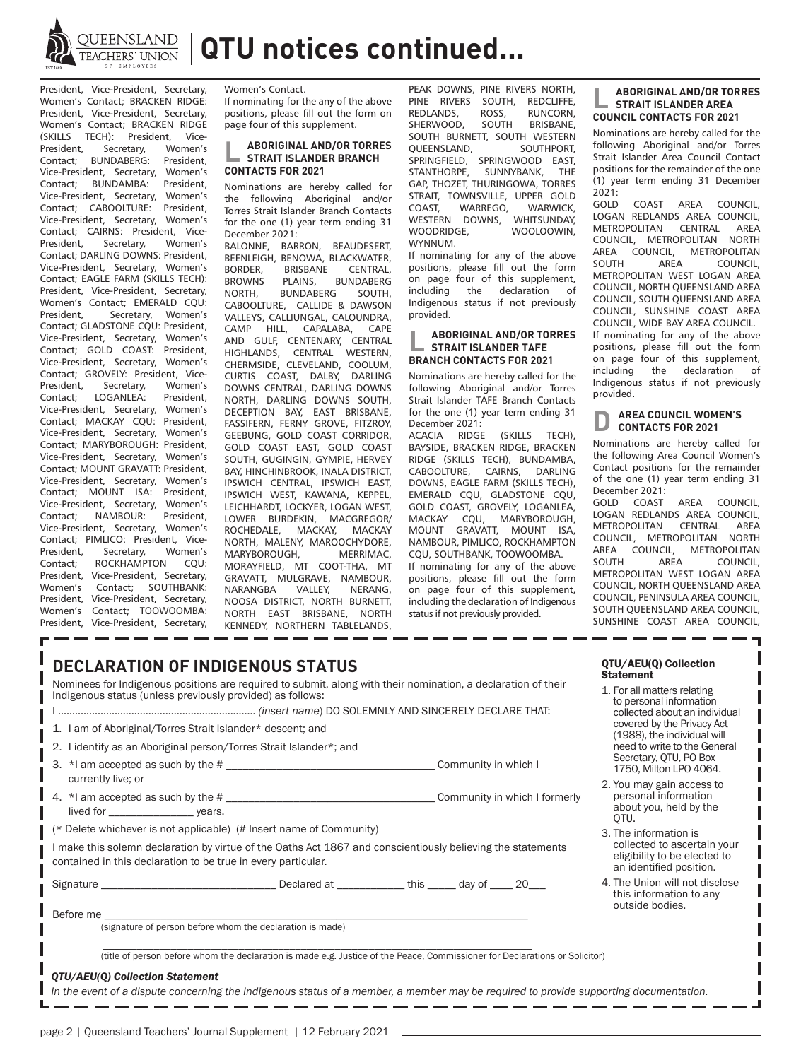

QUEENSLAND | QTU notices continued...

President, Vice-President, Secretary, Women's Contact; BRACKEN RIDGE: President, Vice-President, Secretary, Women's Contact; BRACKEN RIDGE (SKILLS TECH): President, Vice-<br>President, Secretary, Women's Secretary, Contact; BUNDABERG: President, Vice-President, Secretary, Women's Contact; BUNDAMBA: President, Vice-President, Secretary, Women's Contact; CABOOLTURE: President, Vice-President, Secretary, Women's Contact: CAIRNS: President Vice-President, Secretary, Women's Contact; DARLING DOWNS: President, Vice-President, Secretary, Women's Contact; EAGLE FARM (SKILLS TECH): President, Vice-President, Secretary, Women's Contact; EMERALD CQU:<br>President, Secretary, Women's Secretary, Women's Contact; GLADSTONE CQU: President, Vice-President, Secretary, Women's Contact; GOLD COAST: President, Vice-President, Secretary, Women's Contact; GROVELY: President, Vice-<br>President. Secretary. Women's Secretary, Women's<br>OGANLEA: President. Contact: LOGANLEA: Vice-President, Secretary, Women's Contact; MACKAY CQU: President, Vice-President, Secretary, Women's Contact; MARYBOROUGH: President, Vice-President, Secretary, Women's Contact; MOUNT GRAVATT: President, Vice-President, Secretary, Women's Contact; MOUNT ISA: President, Vice-President, Secretary, Women's<br>Contact: NAMBOUR: President NAMBOUR: Vice-President, Secretary, Women's Contact; PIMLICO: President, Vice-President, Secretary, Women's Contact; ROCKHAMPTON CQU: President, Vice-President, Secretary,<br>Women's Contact: SOUTHRANK: Contact: SOUTHBANK: President, Vice-President, Secretary, Women's Contact; TOOWOOMBA: President, Vice-President, Secretary, Women's Contact.

If nominating for the any of the above positions, please fill out the form on page four of this supplement.

## **L ABORIGINAL AND/OR TORRES STRAIT ISLANDER BRANCH CONTACTS FOR 2021**

Nominations are hereby called for the following Aboriginal and/or Torres Strait Islander Branch Contacts for the one (1) year term ending 31 December 2021:

BALONNE, BARRON, BEAUDESERT, BEENLEIGH, BENOWA, BLACKWATER,<br>BORDER BRISBANE CENTRAI BORDER, BRISBANE<br>BROWNS PLAINS, BROWNS PLAINS, BUNDABERG<br>NORTH, BUNDABERG SOUTH, BUNDABERG CABOOLTURE, CALLIDE & DAWSON VALLEYS, CALLIUNGAL, CALOUNDRA, CAMP HILL, CAPALABA, CAPE AND GULF, CENTENARY, CENTRAL<br>HIGHLANDS. CENTRAL WESTERN. CENTRAL WESTERN, CHERMSIDE, CLEVELAND, COOLUM, CURTIS COAST, DALBY, DARLING DOWNS CENTRAL, DARLING DOWNS NORTH, DARLING DOWNS SOUTH, DECEPTION BAY, EAST BRISBANE, FASSIFERN, FERNY GROVE, FITZROY, GEEBUNG, GOLD COAST CORRIDOR, GOLD COAST EAST, GOLD COAST SOUTH, GUGINGIN, GYMPIE, HERVEY BAY, HINCHINBROOK, INALA DISTRICT, IPSWICH CENTRAL, IPSWICH EAST, IPSWICH WEST, KAWANA, KEPPEL, LEICHHARDT, LOCKYER, LOGAN WEST, LOWER BURDEKIN, MACGREGOR/<br>ROCHEDALE, MACKAY, MACKAY MACKAY, MACKAY NORTH, MALENY, MAROOCHYDORE, MARYBOROUGH, MORAYFIELD, MT COOT-THA, MT GRAVATT, MULGRAVE, NAMBOUR,<br>NARANGBA VALLEY. NERANG. NARANGBA NOOSA DISTRICT, NORTH BURNETT, NORTH EAST BRISBANE, NORTH KENNEDY, NORTHERN TABLELANDS,

PEAK DOWNS, PINE RIVERS NORTH,<br>PINF RIVERS SOUTH, REDCLIFFE, PINE RIVERS SOUTH,<br>REDLANDS ROSS ROSS, RUNCORN,<br>SOUTH BRISBANE SHERWOOD, SOUTH BURNETT, SOUTH WESTERN<br>OUFENSLAND SOUTHPORT QUEENSLAND, SPRINGFIELD, SPRINGWOOD EAST,<br>STANTHORPE, SUNNYBANK, THE SUNNYBANK, GAP, THOZET, THURINGOWA, TORRES STRAIT, TOWNSVILLE, UPPER GOLD<br>COAST, WARREGO, WARWICK, WARREGO, WARWICK,<br>DOWNS, WHITSUNDAY, WESTERN DOWNS, WOOLOOWIN, WYNNUM.

If nominating for any of the above positions, please fill out the form on page four of this supplement,<br>including the declaration of declaration of Indigenous status if not previously provided.

#### **L ABORIGINAL AND/OR TORRES STRAIT ISLANDER TAFE BRANCH CONTACTS FOR 2021**

Nominations are hereby called for the following Aboriginal and/or Torres Strait Islander TAFE Branch Contacts for the one (1) year term ending 31 December 2021:<br>ACACIA RIDGE

 $(KKII)$  TECH) BAYSIDE, BRACKEN RIDGE, BRACKEN RIDGE (SKILLS TECH), BUNDAMBA, CABOOLTURE, CAIRNS, DARLING DOWNS, EAGLE FARM (SKILLS TECH), EMERALD CQU, GLADSTONE CQU, GOLD COAST, GROVELY, LOGANLEA, MACKAY CQU, MARYBOROUGH, MOUNT GRAVATT, MOUNT ISA, NAMBOUR, PIMLICO, ROCKHAMPTON CQU, SOUTHBANK, TOOWOOMBA. If nominating for any of the above

positions, please fill out the form on page four of this supplement, including the declaration of Indigenous status if not previously provided.

#### **L ABORIGINAL AND/OR TORRES STRAIT ISLANDER AREA COUNCIL CONTACTS FOR 2021**

Nominations are hereby called for the following Aboriginal and/or Torres Strait Islander Area Council Contact positions for the remainder of the one (1) year term ending 31 December

2021: COAST AREA COUNCIL, LOGAN REDLANDS AREA COUNCIL, METROPOLITAN CENTRAL AREA<br>COUNCIL METROPOLITAN NORTH COUNCIL, METROPOLITAN AREA COUNCIL, METROPOLITAN<br>SOUTH AREA COUNCIL. COUNCIL, METROPOLITAN WEST LOGAN AREA COUNCIL, NORTH QUEENSLAND AREA COUNCIL, SOUTH QUEENSLAND AREA COUNCIL, SUNSHINE COAST AREA COUNCIL, WIDE BAY AREA COUNCIL. If nominating for any of the above positions, please fill out the form on page four of this supplement, including the declaration of Indigenous status if not previously provided.

#### **AREA COUNCIL WOMEN'S CONTACTS FOR 2021**

Nominations are hereby called for the following Area Council Women's Contact positions for the remainder of the one (1) year term ending 31 December 2021:<br>GOLD COAST

AREA COUNCIL. LOGAN REDLANDS AREA COUNCIL, METROPOLITAN CENTRAL AREA COUNCIL, METROPOLITAN NORTH AREA COUNCIL, METROPOLITAN<br>SOUTH AREA COUNCIL, COUNCIL, METROPOLITAN WEST LOGAN AREA COUNCIL, NORTH QUEENSLAND AREA COUNCIL, PENINSULA AREA COUNCIL, SOUTH QUEENSLAND AREA COUNCIL, SUNSHINE COAST AREA COUNCIL,

| <b>DECLARATION OF INDIGENOUS STATUS</b><br>Nominees for Indigenous positions are required to submit, along with their nomination, a declaration of their<br>Indigenous status (unless previously provided) as follows:<br>1. I am of Aboriginal/Torres Strait Islander* descent; and<br>2. I identify as an Aboriginal person/Torres Strait Islander*; and | QTU/AEU(Q) Collection<br><b>Statement</b><br>1. For all matters relating<br>to personal information<br>collected about an individual<br>covered by the Privacy Act<br>(1988), the individual will<br>need to write to the General |  |  |  |                                                                                                                 |  |  |
|------------------------------------------------------------------------------------------------------------------------------------------------------------------------------------------------------------------------------------------------------------------------------------------------------------------------------------------------------------|-----------------------------------------------------------------------------------------------------------------------------------------------------------------------------------------------------------------------------------|--|--|--|-----------------------------------------------------------------------------------------------------------------|--|--|
| 3. *I am accepted as such by the #<br>currently live; or                                                                                                                                                                                                                                                                                                   |                                                                                                                                                                                                                                   |  |  |  | Secretary, QTU, PO Box<br>1750, Milton LPO 4064.                                                                |  |  |
| lived for _______________________ years.                                                                                                                                                                                                                                                                                                                   |                                                                                                                                                                                                                                   |  |  |  | 2. You may gain access to<br>personal information<br>about you, held by the<br>OTU.                             |  |  |
| (* Delete whichever is not applicable) (# Insert name of Community)                                                                                                                                                                                                                                                                                        |                                                                                                                                                                                                                                   |  |  |  | 3. The information is<br>collected to ascertain your<br>eligibility to be elected to<br>an identified position. |  |  |
| I make this solemn declaration by virtue of the Oaths Act 1867 and conscientiously believing the statements<br>contained in this declaration to be true in every particular.                                                                                                                                                                               |                                                                                                                                                                                                                                   |  |  |  |                                                                                                                 |  |  |
| Signature enterprise and the Declared at the Library of the Mayof 20                                                                                                                                                                                                                                                                                       |                                                                                                                                                                                                                                   |  |  |  | 4. The Union will not disclose<br>this information to any<br>outside bodies.                                    |  |  |
| Before me and the state of the state of the state of the state of the state of the state of the state of the state of the state of the state of the state of the state of the state of the state of the state of the state of<br>(signature of person before whom the declaration is made)                                                                 |                                                                                                                                                                                                                                   |  |  |  |                                                                                                                 |  |  |
|                                                                                                                                                                                                                                                                                                                                                            |                                                                                                                                                                                                                                   |  |  |  |                                                                                                                 |  |  |
| (title of person before whom the declaration is made e.g. Justice of the Peace, Commissioner for Declarations or Solicitor)                                                                                                                                                                                                                                |                                                                                                                                                                                                                                   |  |  |  |                                                                                                                 |  |  |
| QTU/AEU(Q) Collection Statement                                                                                                                                                                                                                                                                                                                            |                                                                                                                                                                                                                                   |  |  |  |                                                                                                                 |  |  |
| In the event of a dispute concerning the Indigenous status of a member, a member may be required to provide supporting documentation.                                                                                                                                                                                                                      |                                                                                                                                                                                                                                   |  |  |  |                                                                                                                 |  |  |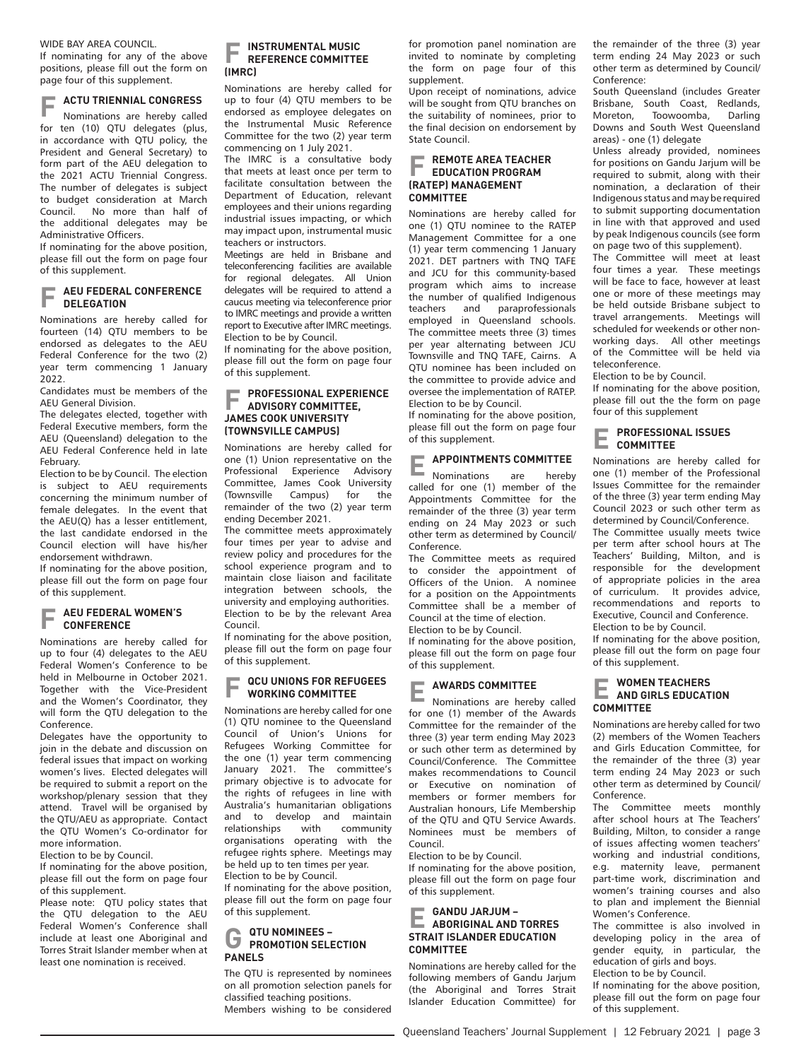WIDE RAY AREA COUNCIL.

If nominating for any of the above positions, please fill out the form on page four of this supplement.

**F ACTU TRIENNIAL CONGRESS**

Nominations are hereby called for ten (10) QTU delegates (plus, in accordance with QTU policy, the President and General Secretary) to form part of the AEU delegation to the 2021 ACTU Triennial Congress. The number of delegates is subject to budget consideration at March<br>Council. No more than half of No more than half of the additional delegates may be Administrative Officers.

If nominating for the above position, please fill out the form on page four of this supplement.

#### **AEU FEDERAL CONFERENCE DELEGATION**

Nominations are hereby called for fourteen (14) QTU members to be endorsed as delegates to the AEU Federal Conference for the two (2) year term commencing 1 January 2022.

Candidates must be members of the AEU General Division.

The delegates elected, together with Federal Executive members, form the AEU (Queensland) delegation to the AEU Federal Conference held in late February.

Election to be by Council. The election is subject to AEU requirements concerning the minimum number of female delegates. In the event that the AEU(Q) has a lesser entitlement, the last candidate endorsed in the Council election will have his/her endorsement withdrawn.

If nominating for the above position, please fill out the form on page four of this supplement.

#### **AEU FEDERAL WOMEN'S CONFERENCE**

Nominations are hereby called for up to four (4) delegates to the AEU Federal Women's Conference to be held in Melbourne in October 2021. Together with the Vice-President and the Women's Coordinator, they will form the QTU delegation to the Conference.

Delegates have the opportunity to join in the debate and discussion on federal issues that impact on working women's lives. Elected delegates will be required to submit a report on the workshop/plenary session that they attend. Travel will be organised by the QTU/AEU as appropriate. Contact the QTU Women's Co-ordinator for more information.

Election to be by Council.

If nominating for the above position, please fill out the form on page four of this supplement.

Please note: OTU policy states that the QTU delegation to the AEU Federal Women's Conference shall include at least one Aboriginal and Torres Strait Islander member when at least one nomination is received.

## **F INSTRUMENTAL MUSIC REFERENCE COMMITTEE (IMRC)**

Nominations are hereby called for up to four (4) QTU members to be endorsed as employee delegates on the Instrumental Music Reference Committee for the two (2) year term commencing on 1 July 2021.

The IMRC is a consultative body that meets at least once per term to facilitate consultation between the Department of Education, relevant employees and their unions regarding industrial issues impacting, or which may impact upon, instrumental music teachers or instructors.

Meetings are held in Brisbane and teleconferencing facilities are available for regional delegates. All Union delegates will be required to attend a caucus meeting via teleconference prior to IMRC meetings and provide a written report to Executive after IMRC meetings. Election to be by Council.

If nominating for the above position, please fill out the form on page four of this supplement.

#### **F PROFESSIONAL EXPERIENCE ADVISORY COMMITTEE, JAMES COOK UNIVERSITY (TOWNSVILLE CAMPUS)**

Nominations are hereby called for one (1) Union representative on the Professional Experience Advisory Committee, James Cook University<br>(Townsville Campus) for the (Townsville Campus) for the remainder of the two (2) year term ending December 2021.

The committee meets approximately four times per year to advise and review policy and procedures for the school experience program and to maintain close liaison and facilitate integration between schools, the university and employing authorities. Election to be by the relevant Area Council.

If nominating for the above position, please fill out the form on page four of this supplement.

#### **F QCU UNIONS FOR REFUGEES WORKING COMMITTEE**

Nominations are hereby called for one (1) QTU nominee to the Queensland Council of Union's Unions for Refugees Working Committee for the one (1) year term commencing January 2021. The committee's primary objective is to advocate for the rights of refugees in line with Australia's humanitarian obligations and to develop and maintain relationships with community organisations operating with the refugee rights sphere. Meetings may be held up to ten times per year.

Election to be by Council. If nominating for the above position, please fill out the form on page four

## **G QTU NOMINEES – PROMOTION SELECTION PANELS**

of this supplement.

The QTU is represented by nominees on all promotion selection panels for classified teaching positions. Members wishing to be considered

for promotion panel nomination are invited to nominate by completing the form on page four of this supplement.

Upon receipt of nominations, advice will be sought from OTU branches on the suitability of nominees, prior to the final decision on endorsement by State Council.

#### **F REMOTE AREA TEACHER EDUCATION PROGRAM (RATEP) MANAGEMENT COMMITTEE**

Nominations are hereby called for one (1) QTU nominee to the RATEP Management Committee for a one (1) year term commencing 1 January 2021. DET partners with TNQ TAFE and JCU for this community-based program which aims to increase the number of qualified Indigenous teachers and paraprofessionals employed in Queensland schools. The committee meets three (3) times per year alternating between JCU Townsville and TNQ TAFE, Cairns. A QTU nominee has been included on the committee to provide advice and oversee the implementation of RATEP. Election to be by Council.

If nominating for the above position, please fill out the form on page four of this supplement.

## **APPOINTMENTS COMMITTEE**<br>Nominations are hereby

Nominations called for one (1) member of the Appointments Committee for the remainder of the three (3) year term ending on 24 May 2023 or such other term as determined by Council/ Conference.

The Committee meets as required to consider the appointment of Officers of the Union. A nominee for a position on the Appointments Committee shall be a member of Council at the time of election.

Election to be by Council.

If nominating for the above position, please fill out the form on page four of this supplement.

**E AWARDS COMMITTEE** Nominations are hereby called for one (1) member of the Awards Committee for the remainder of the three (3) year term ending May 2023 or such other term as determined by Council/Conference. The Committee makes recommendations to Council or Executive on nomination of members or former members for Australian honours, Life Membership of the QTU and QTU Service Awards. Nominees must be members of Council.

Election to be by Council.

If nominating for the above position, please fill out the form on page four of this supplement.

### **E GANDU JARJUM – ABORIGINAL AND TORRES STRAIT ISLANDER EDUCATION COMMITTEE**

Nominations are hereby called for the following members of Gandu Jarjum (the Aboriginal and Torres Strait Islander Education Committee) for the remainder of the three (3) year term ending 24 May 2023 or such other term as determined by Council/ Conference:

South Queensland (includes Greater Brisbane, South Coast, Redlands,<br>Moreton, Toowoomba, Darling Toowoomba, Downs and South West Queensland areas) - one (1) delegate

Unless already provided, nominees for positions on Gandu Jarjum will be required to submit, along with their nomination, a declaration of their Indigenous status and may be required to submit supporting documentation in line with that approved and used by peak Indigenous councils (see form on page two of this supplement).

The Committee will meet at least four times a year. These meetings will be face to face, however at least one or more of these meetings may be held outside Brisbane subject to travel arrangements. Meetings will scheduled for weekends or other nonworking days. All other meetings of the Committee will be held via teleconference.

Election to be by Council.

If nominating for the above position, please fill out the the form on page four of this supplement

#### **E PROFESSIONAL ISSUES COMMITTEE**

Nominations are hereby called for one (1) member of the Professional Issues Committee for the remainder of the three (3) year term ending May Council 2023 or such other term as determined by Council/Conference.

The Committee usually meets twice per term after school hours at The .<br>Teachers' Building, Milton, and is responsible for the development of appropriate policies in the area of curriculum. It provides advice, recommendations and reports to Executive, Council and Conference. Election to be by Council.

If nominating for the above position, please fill out the form on page four of this supplement.

## **E WOMEN TEACHERS AND GIRLS EDUCATION COMMITTEE**

Nominations are hereby called for two (2) members of the Women Teachers and Girls Education Committee, for the remainder of the three (3) year term ending 24 May 2023 or such other term as determined by Council/ Conference.

The Committee meets monthly after school hours at The Teachers' Building, Milton, to consider a range of issues affecting women teachers' working and industrial conditions, e.g. maternity leave, permanent part-time work, discrimination and women's training courses and also to plan and implement the Biennial Women's Conference.

The committee is also involved in developing policy in the area of gender equity, in particular, the education of girls and boys.

Election to be by Council.

If nominating for the above position, please fill out the form on page four of this supplement.